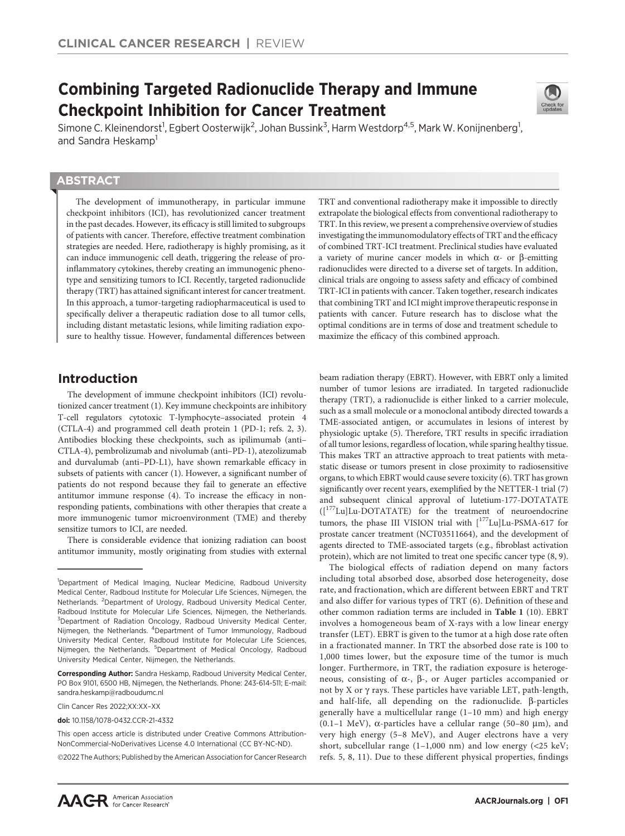# Combining Targeted Radionuclide Therapy and Immune Checkpoint Inhibition for Cancer Treatment



Simone C. Kleinendorst<sup>1</sup>, Egbert Oosterwijk<sup>2</sup>, Johan Bussink<sup>3</sup>, Harm Westdorp<sup>4,5</sup>, Mark W. Konijnenberg<sup>1</sup>, and Sandra Heskamp<sup>1</sup>

## **ABSTRACT**

◥

The development of immunotherapy, in particular immune checkpoint inhibitors (ICI), has revolutionized cancer treatment in the past decades. However, its efficacy is still limited to subgroups of patients with cancer. Therefore, effective treatment combination strategies are needed. Here, radiotherapy is highly promising, as it can induce immunogenic cell death, triggering the release of proinflammatory cytokines, thereby creating an immunogenic phenotype and sensitizing tumors to ICI. Recently, targeted radionuclide therapy (TRT) has attained significant interest for cancer treatment. In this approach, a tumor-targeting radiopharmaceutical is used to specifically deliver a therapeutic radiation dose to all tumor cells, including distant metastatic lesions, while limiting radiation exposure to healthy tissue. However, fundamental differences between

## Introduction

The development of immune checkpoint inhibitors (ICI) revolutionized cancer treatment (1). Key immune checkpoints are inhibitory T-cell regulators cytotoxic T-lymphocyte–associated protein 4 (CTLA-4) and programmed cell death protein 1 (PD-1; refs. 2, 3). Antibodies blocking these checkpoints, such as ipilimumab (anti– CTLA-4), pembrolizumab and nivolumab (anti–PD-1), atezolizumab and durvalumab (anti–PD-L1), have shown remarkable efficacy in subsets of patients with cancer (1). However, a significant number of patients do not respond because they fail to generate an effective antitumor immune response (4). To increase the efficacy in nonresponding patients, combinations with other therapies that create a more immunogenic tumor microenvironment (TME) and thereby sensitize tumors to ICI, are needed.

There is considerable evidence that ionizing radiation can boost antitumor immunity, mostly originating from studies with external

2022 The Authors; Published by the American Association for Cancer Research

TRT and conventional radiotherapy make it impossible to directly extrapolate the biological effects from conventional radiotherapy to TRT. In this review, we present a comprehensive overview of studies investigating the immunomodulatory effects of TRT and the efficacy of combined TRT-ICI treatment. Preclinical studies have evaluated a variety of murine cancer models in which  $\alpha$ - or  $\beta$ -emitting radionuclides were directed to a diverse set of targets. In addition, clinical trials are ongoing to assess safety and efficacy of combined TRT-ICI in patients with cancer. Taken together, research indicates that combining TRT and ICI might improve therapeutic response in patients with cancer. Future research has to disclose what the optimal conditions are in terms of dose and treatment schedule to maximize the efficacy of this combined approach.

beam radiation therapy (EBRT). However, with EBRT only a limited number of tumor lesions are irradiated. In targeted radionuclide therapy (TRT), a radionuclide is either linked to a carrier molecule, such as a small molecule or a monoclonal antibody directed towards a TME-associated antigen, or accumulates in lesions of interest by physiologic uptake (5). Therefore, TRT results in specific irradiation of all tumor lesions, regardless of location, while sparing healthy tissue. This makes TRT an attractive approach to treat patients with metastatic disease or tumors present in close proximity to radiosensitive organs, to which EBRT would cause severe toxicity (6). TRT has grown significantly over recent years, exemplified by the NETTER-1 trial (7) and subsequent clinical approval of lutetium-177-DOTATATE ([177Lu]Lu-DOTATATE) for the treatment of neuroendocrine tumors, the phase III VISION trial with [<sup>177</sup>Lu]Lu-PSMA-617 for prostate cancer treatment (NCT03511664), and the development of agents directed to TME-associated targets (e.g., fibroblast activation protein), which are not limited to treat one specific cancer type (8, 9).

The biological effects of radiation depend on many factors including total absorbed dose, absorbed dose heterogeneity, dose rate, and fractionation, which are different between EBRT and TRT and also differ for various types of TRT (6). Definition of these and other common radiation terms are included in Table 1 (10). EBRT involves a homogeneous beam of X-rays with a low linear energy transfer (LET). EBRT is given to the tumor at a high dose rate often in a fractionated manner. In TRT the absorbed dose rate is 100 to 1,000 times lower, but the exposure time of the tumor is much longer. Furthermore, in TRT, the radiation exposure is heterogeneous, consisting of  $\alpha$ -,  $\beta$ -, or Auger particles accompanied or not by X or  $\gamma$  rays. These particles have variable LET, path-length, and half-life, all depending on the radionuclide.  $\beta$ -particles generally have a multicellular range (1–10 mm) and high energy (0.1-1 MeV),  $\alpha$ -particles have a cellular range (50-80 µm), and very high energy (5–8 MeV), and Auger electrons have a very short, subcellular range  $(1-1,000 \text{ nm})$  and low energy  $(<25 \text{ keV})$ ; refs. 5, 8, 11). Due to these different physical properties, findings

<sup>&</sup>lt;sup>1</sup>Department of Medical Imaging, Nuclear Medicine, Radboud University Medical Center, Radboud Institute for Molecular Life Sciences, Nijmegen, the Netherlands. <sup>2</sup>Department of Urology, Radboud University Medical Center, Radboud Institute for Molecular Life Sciences, Nijmegen, the Netherlands. <sup>3</sup>Department of Radiation Oncology, Radboud University Medical Center, Nijmegen, the Netherlands. <sup>4</sup>Department of Tumor Immunology, Radboud University Medical Center, Radboud Institute for Molecular Life Sciences, Nijmegen, the Netherlands. <sup>5</sup>Department of Medical Oncology, Radboud University Medical Center, Nijmegen, the Netherlands.

Corresponding Author: Sandra Heskamp, Radboud University Medical Center, PO Box 9101, 6500 HB, Nijmegen, the Netherlands. Phone: 243-614-511; E-mail: sandra.heskamp@radboudumc.nl

Clin Cancer Res 2022;XX:XX–XX

doi: 10.1158/1078-0432.CCR-21-4332

This open access article is distributed under Creative Commons Attribution-NonCommercial-NoDerivatives License 4.0 International (CC BY-NC-ND).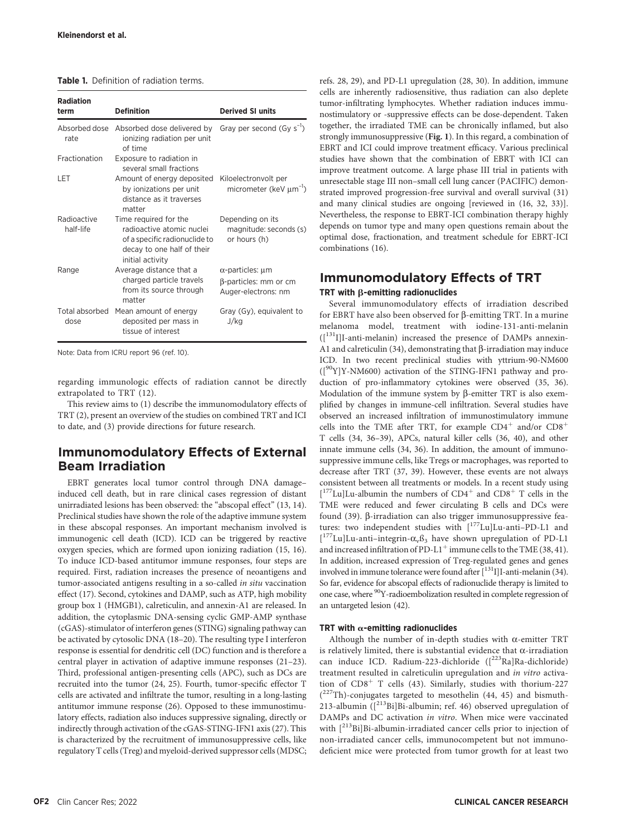| <b>Table 1.</b> Definition of radiation terms. |  |  |  |
|------------------------------------------------|--|--|--|
|------------------------------------------------|--|--|--|

| <b>Radiation</b><br>term | <b>Definition</b>                                                                                                                     | <b>Derived SI units</b>                                                      |
|--------------------------|---------------------------------------------------------------------------------------------------------------------------------------|------------------------------------------------------------------------------|
| rate                     | Absorbed dose Absorbed dose delivered by<br>ionizing radiation per unit<br>of time                                                    | Gray per second $(Gy s^{-1})$                                                |
| Fractionation            | Exposure to radiation in<br>several small fractions                                                                                   |                                                                              |
| LET                      | Amount of energy deposited<br>by ionizations per unit<br>distance as it traverses<br>matter                                           | Kiloelectronvolt per<br>micrometer (keV $\mu$ m <sup>-1</sup> )              |
| Radioactive<br>half-life | Time required for the<br>radioactive atomic nuclei<br>of a specific radionuclide to<br>decay to one half of their<br>initial activity | Depending on its<br>magnitude: seconds (s)<br>or hours (h)                   |
| Range                    | Average distance that a<br>charged particle travels<br>from its source through<br>matter                                              | $\alpha$ -particles: $\mu$ m<br>β-particles: mm or cm<br>Auger-electrons: nm |
| Total absorbed<br>dose   | Mean amount of energy<br>deposited per mass in<br>tissue of interest                                                                  | Gray (Gy), equivalent to<br>J/kg                                             |

Note: Data from ICRU report 96 (ref. 10).

regarding immunologic effects of radiation cannot be directly extrapolated to TRT (12).

This review aims to (1) describe the immunomodulatory effects of TRT (2), present an overview of the studies on combined TRT and ICI to date, and (3) provide directions for future research.

## Immunomodulatory Effects of External Beam Irradiation

EBRT generates local tumor control through DNA damage– induced cell death, but in rare clinical cases regression of distant unirradiated lesions has been observed: the "abscopal effect" (13, 14). Preclinical studies have shown the role of the adaptive immune system in these abscopal responses. An important mechanism involved is immunogenic cell death (ICD). ICD can be triggered by reactive oxygen species, which are formed upon ionizing radiation (15, 16). To induce ICD-based antitumor immune responses, four steps are required. First, radiation increases the presence of neoantigens and tumor-associated antigens resulting in a so-called in situ vaccination effect (17). Second, cytokines and DAMP, such as ATP, high mobility group box 1 (HMGB1), calreticulin, and annexin-A1 are released. In addition, the cytoplasmic DNA-sensing cyclic GMP-AMP synthase (cGAS)-stimulator of interferon genes (STING) signaling pathway can be activated by cytosolic DNA (18–20). The resulting type I interferon response is essential for dendritic cell (DC) function and is therefore a central player in activation of adaptive immune responses (21–23). Third, professional antigen-presenting cells (APC), such as DCs are recruited into the tumor (24, 25). Fourth, tumor-specific effector T cells are activated and infiltrate the tumor, resulting in a long-lasting antitumor immune response (26). Opposed to these immunostimulatory effects, radiation also induces suppressive signaling, directly or indirectly through activation of the cGAS-STING-IFN1 axis (27). This is characterized by the recruitment of immunosuppressive cells, like regulatory T cells (Treg) and myeloid-derived suppressor cells (MDSC; refs. 28, 29), and PD-L1 upregulation (28, 30). In addition, immune cells are inherently radiosensitive, thus radiation can also deplete tumor-infiltrating lymphocytes. Whether radiation induces immunostimulatory or -suppressive effects can be dose-dependent. Taken together, the irradiated TME can be chronically inflamed, but also strongly immunosuppressive (Fig. 1). In this regard, a combination of EBRT and ICI could improve treatment efficacy. Various preclinical studies have shown that the combination of EBRT with ICI can improve treatment outcome. A large phase III trial in patients with unresectable stage III non–small cell lung cancer (PACIFIC) demonstrated improved progression-free survival and overall survival (31) and many clinical studies are ongoing [reviewed in (16, 32, 33)]. Nevertheless, the response to EBRT-ICI combination therapy highly depends on tumor type and many open questions remain about the optimal dose, fractionation, and treatment schedule for EBRT-ICI combinations (16).

# Immunomodulatory Effects of TRT

## TRT with  $\beta$ -emitting radionuclides

Several immunomodulatory effects of irradiation described for EBRT have also been observed for  $\beta$ -emitting TRT. In a murine melanoma model, treatment with iodine-131-anti-melanin  $([131]I]$ -anti-melanin) increased the presence of DAMPs annexin-A1 and calreticulin (34), demonstrating that  $\beta$ -irradiation may induce ICD. In two recent preclinical studies with yttrium-90-NM600  $({}^{90}Y]Y-NM600$ ) activation of the STING-IFN1 pathway and production of pro-inflammatory cytokines were observed (35, 36). Modulation of the immune system by  $\beta$ -emitter TRT is also exemplified by changes in immune-cell infiltration. Several studies have observed an increased infiltration of immunostimulatory immune cells into the TME after TRT, for example  $CD4^+$  and/or  $CD8^+$ T cells (34, 36–39), APCs, natural killer cells (36, 40), and other innate immune cells (34, 36). In addition, the amount of immunosuppressive immune cells, like Tregs or macrophages, was reported to decrease after TRT (37, 39). However, these events are not always consistent between all treatments or models. In a recent study using  $[{}^{177}$ Lu]Lu-albumin the numbers of CD4<sup>+</sup> and CD8<sup>+</sup> T cells in the TME were reduced and fewer circulating B cells and DCs were found (39).  $\beta$ -irradiation can also trigger immunosuppressive features: two independent studies with [<sup>177</sup>Lu]Lu-anti-PD-L1 and  $[{}^{177}$ Lu]Lu-anti–integrin- $\alpha_x \beta_3$  have shown upregulation of PD-L1<br>and increased infiltration of PD-L1<sup>+</sup> immune cells to the TME (38–41) and increased infiltration of PD-L1<sup>+</sup> immune cells to the TME (38, 41). In addition, increased expression of Treg-regulated genes and genes involved in immune tolerance were found after  $[$ <sup>131</sup>I]I-anti-melanin (34). So far, evidence for abscopal effects of radionuclide therapy is limited to one case, where 90Y-radioembolization resulted in complete regression of an untargeted lesion (42).

### TRT with  $\alpha$ -emitting radionuclides

Although the number of in-depth studies with  $\alpha$ -emitter TRT is relatively limited, there is substantial evidence that  $\alpha$ -irradiation can induce ICD. Radium-223-dichloride ([<sup>223</sup>Ra]Ra-dichloride) treatment resulted in calreticulin upregulation and in vitro activation of  $CD8<sup>+</sup>$  T cells (43). Similarly, studies with thorium-227 (<sup>227</sup>Th)-conjugates targeted to mesothelin (44, 45) and bismuth-213-albumin  $([^{213}Bi]Bi$ -albumin; ref. 46) observed upregulation of DAMPs and DC activation in vitro. When mice were vaccinated with  $[{}^{213}Bi]Bi$ -albumin-irradiated cancer cells prior to injection of non-irradiated cancer cells, immunocompetent but not immunodeficient mice were protected from tumor growth for at least two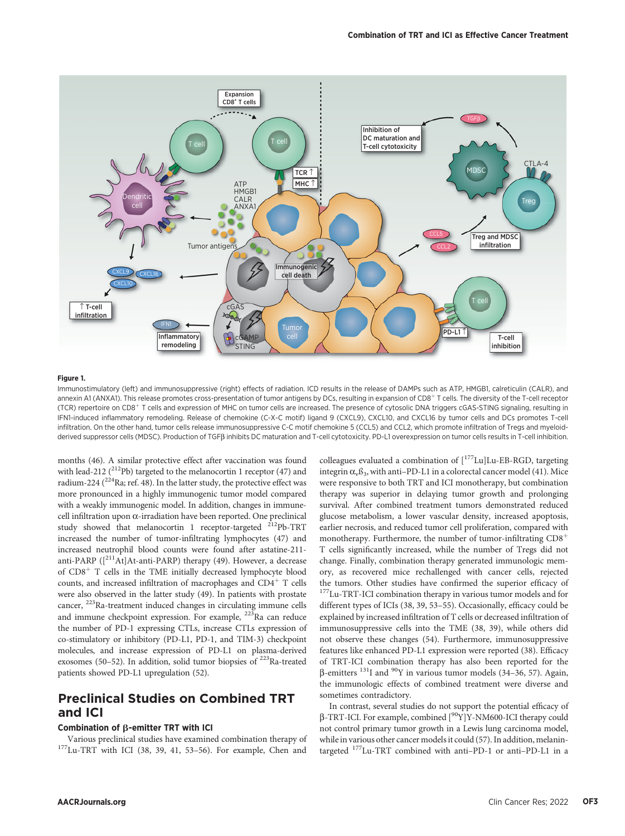

#### Figure 1.

Immunostimulatory (left) and immunosuppressive (right) effects of radiation. ICD results in the release of DAMPs such as ATP, HMGB1, calreticulin (CALR), and annexin A1 (ANXA1). This release promotes cross-presentation of tumor antigens by DCs, resulting in expansion of CD8<sup>+</sup> T cells. The diversity of the T-cell receptor (TCR) repertoire on CD8<sup>+</sup> T cells and expression of MHC on tumor cells are increased. The presence of cytosolic DNA triggers cGAS-STING signaling, resulting in IFN1-induced inflammatory remodeling. Release of chemokine (C-X-C motif) ligand 9 (CXCL9), CXCL10, and CXCL16 by tumor cells and DCs promotes T-cell infiltration. On the other hand, tumor cells release immunosuppressive C-C motif chemokine 5 (CCL5) and CCL2, which promote infiltration of Tregs and myeloidderived suppressor cells (MDSC). Production of TGFß inhibits DC maturation and T-cell cytotoxicity. PD-L1 overexpression on tumor cells results in T-cell inhibition.

months (46). A similar protective effect after vaccination was found with lead-212 ( $^{212}$ Pb) targeted to the melanocortin 1 receptor (47) and radium-224 ( $^{224}$ Ra; ref. 48). In the latter study, the protective effect was more pronounced in a highly immunogenic tumor model compared with a weakly immunogenic model. In addition, changes in immunecell infiltration upon  $\alpha$ -irradiation have been reported. One preclinical study showed that melanocortin 1 receptor-targeted  $^{212}Pb-TRT$ increased the number of tumor-infiltrating lymphocytes (47) and increased neutrophil blood counts were found after astatine-211 anti-PARP ( $\left[\right]^{211}$ At]At-anti-PARP) therapy (49). However, a decrease of  $CD8<sup>+</sup>$  T cells in the TME initially decreased lymphocyte blood counts, and increased infiltration of macrophages and  $CD4^+$  T cells were also observed in the latter study (49). In patients with prostate cancer, 223Ra-treatment induced changes in circulating immune cells and immune checkpoint expression. For example, <sup>223</sup>Ra can reduce the number of PD-1 expressing CTLs, increase CTLs expression of co-stimulatory or inhibitory (PD-L1, PD-1, and TIM-3) checkpoint molecules, and increase expression of PD-L1 on plasma-derived exosomes (50-52). In addition, solid tumor biopsies of <sup>223</sup>Ra-treated patients showed PD-L1 upregulation (52).

# Preclinical Studies on Combined TRT and ICI

### Combination of  $\beta$ -emitter TRT with ICI

Various preclinical studies have examined combination therapy of 177Lu-TRT with ICI (38, 39, 41, 53–56). For example, Chen and

colleagues evaluated a combination of  $[^{177}$ Lu]Lu-EB-RGD, targeting integrin  $\alpha_{\rm v}$ ß<sub>3</sub>, with anti-PD-L1 in a colorectal cancer model (41). Mice were responsive to both TRT and ICI monotherapy, but combination therapy was superior in delaying tumor growth and prolonging survival. After combined treatment tumors demonstrated reduced glucose metabolism, a lower vascular density, increased apoptosis, earlier necrosis, and reduced tumor cell proliferation, compared with monotherapy. Furthermore, the number of tumor-infiltrating  $CDS<sup>+</sup>$ T cells significantly increased, while the number of Tregs did not change. Finally, combination therapy generated immunologic memory, as recovered mice rechallenged with cancer cells, rejected  $177$ Lu-TRT-ICI combination therapy in various tumor models and for different types of ICIs (38, 39, 53–55). Occasionally, efficacy could be explained by increased infiltration of T cells or decreased infiltration of immunosuppressive cells into the TME (38, 39), while others did not observe these changes (54). Furthermore, immunosuppressive features like enhanced PD-L1 expression were reported (38). Efficacy of TRT-ICI combination therapy has also been reported for the  $\beta$ -emitters <sup>131</sup>I and <sup>90</sup>Y in various tumor models (34–36, 57). Again, the immunologic effects of combined treatment were diverse and sometimes contradictory.

In contrast, several studies do not support the potential efficacy of <sup>b</sup>-TRT-ICI. For example, combined [90Y]Y-NM600-ICI therapy could not control primary tumor growth in a Lewis lung carcinoma model, while in various other cancer models it could (57). In addition, melanintargeted 177Lu-TRT combined with anti–PD-1 or anti–PD-L1 in a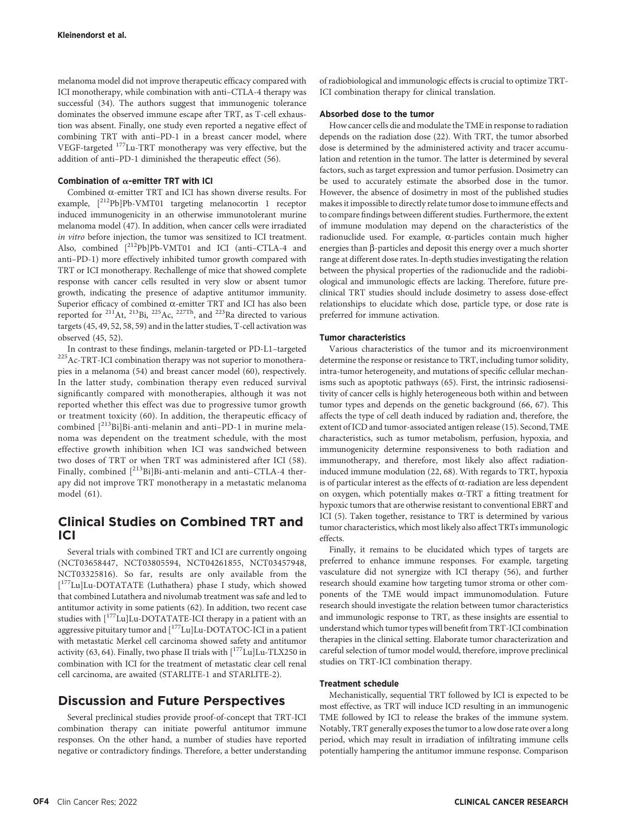melanoma model did not improve therapeutic efficacy compared with ICI monotherapy, while combination with anti–CTLA-4 therapy was successful (34). The authors suggest that immunogenic tolerance dominates the observed immune escape after TRT, as T-cell exhaustion was absent. Finally, one study even reported a negative effect of combining TRT with anti–PD-1 in a breast cancer model, where VEGF-targeted 177Lu-TRT monotherapy was very effective, but the addition of anti–PD-1 diminished the therapeutic effect (56).

#### Combination of  $\alpha$ -emitter TRT with ICI

Combined  $\alpha$ -emitter TRT and ICI has shown diverse results. For example, [212Pb]Pb-VMT01 targeting melanocortin 1 receptor induced immunogenicity in an otherwise immunotolerant murine melanoma model (47). In addition, when cancer cells were irradiated in vitro before injection, the tumor was sensitized to ICI treatment. Also, combined [212Pb]Pb-VMT01 and ICI (anti–CTLA-4 and anti–PD-1) more effectively inhibited tumor growth compared with TRT or ICI monotherapy. Rechallenge of mice that showed complete response with cancer cells resulted in very slow or absent tumor growth, indicating the presence of adaptive antitumor immunity. Superior efficacy of combined  $\alpha$ -emitter TRT and ICI has also been reported for <sup>211</sup>At, <sup>213</sup>Bi, <sup>225</sup>Ac, <sup>227Th</sup>, and <sup>223</sup>Ra directed to various targets (45, 49, 52, 58, 59) and in the latter studies, T-cell activation was observed (45, 52).

In contrast to these findings, melanin-targeted or PD-L1–targeted 225Ac-TRT-ICI combination therapy was not superior to monotherapies in a melanoma (54) and breast cancer model (60), respectively. In the latter study, combination therapy even reduced survival significantly compared with monotherapies, although it was not reported whether this effect was due to progressive tumor growth or treatment toxicity (60). In addition, the therapeutic efficacy of combined  $[{}^{213}Bi]Bi$ -anti-melanin and anti-PD-1 in murine melanoma was dependent on the treatment schedule, with the most effective growth inhibition when ICI was sandwiched between two doses of TRT or when TRT was administered after ICI (58). Finally, combined  $[^{213}Bi]Bi-anti-melanin$  and anti-CTLA-4 therapy did not improve TRT monotherapy in a metastatic melanoma model (61).

## Clinical Studies on Combined TRT and ICI

Several trials with combined TRT and ICI are currently ongoing (NCT03658447, NCT03805594, NCT04261855, NCT03457948, NCT03325816). So far, results are only available from the [ 177Lu]Lu-DOTATATE (Luthathera) phase I study, which showed that combined Lutathera and nivolumab treatment was safe and led to antitumor activity in some patients (62). In addition, two recent case studies with [177Lu]Lu-DOTATATE-ICI therapy in a patient with an aggressive pituitary tumor and [<sup>177</sup>Lu]Lu-DOTATOC-ICI in a patient with metastatic Merkel cell carcinoma showed safety and antitumor activity (63, 64). Finally, two phase II trials with  $[^{177}$ Lu]Lu-TLX250 in combination with ICI for the treatment of metastatic clear cell renal cell carcinoma, are awaited (STARLITE-1 and STARLITE-2).

## Discussion and Future Perspectives

Several preclinical studies provide proof-of-concept that TRT-ICI combination therapy can initiate powerful antitumor immune responses. On the other hand, a number of studies have reported negative or contradictory findings. Therefore, a better understanding of radiobiological and immunologic effects is crucial to optimize TRT-ICI combination therapy for clinical translation.

## Absorbed dose to the tumor

How cancer cells die and modulate the TME in response to radiation depends on the radiation dose (22). With TRT, the tumor absorbed dose is determined by the administered activity and tracer accumulation and retention in the tumor. The latter is determined by several factors, such as target expression and tumor perfusion. Dosimetry can be used to accurately estimate the absorbed dose in the tumor. However, the absence of dosimetry in most of the published studies makes it impossible to directly relate tumor dose to immune effects and to compare findings between different studies. Furthermore, the extent of immune modulation may depend on the characteristics of the radionuclide used. For example,  $\alpha$ -particles contain much higher energies than  $\beta$ -particles and deposit this energy over a much shorter range at different dose rates. In-depth studies investigating the relation between the physical properties of the radionuclide and the radiobiological and immunologic effects are lacking. Therefore, future preclinical TRT studies should include dosimetry to assess dose-effect relationships to elucidate which dose, particle type, or dose rate is preferred for immune activation.

#### Tumor characteristics

Various characteristics of the tumor and its microenvironment determine the response or resistance to TRT, including tumor solidity, intra-tumor heterogeneity, and mutations of specific cellular mechanisms such as apoptotic pathways (65). First, the intrinsic radiosensitivity of cancer cells is highly heterogeneous both within and between tumor types and depends on the genetic background (66, 67). This affects the type of cell death induced by radiation and, therefore, the extent of ICD and tumor-associated antigen release (15). Second, TME characteristics, such as tumor metabolism, perfusion, hypoxia, and immunogenicity determine responsiveness to both radiation and immunotherapy, and therefore, most likely also affect radiationinduced immune modulation (22, 68). With regards to TRT, hypoxia is of particular interest as the effects of  $\alpha$ -radiation are less dependent on oxygen, which potentially makes  $\alpha$ -TRT a fitting treatment for hypoxic tumors that are otherwise resistant to conventional EBRT and ICI (5). Taken together, resistance to TRT is determined by various tumor characteristics, which most likely also affect TRTs immunologic effects.

Finally, it remains to be elucidated which types of targets are preferred to enhance immune responses. For example, targeting vasculature did not synergize with ICI therapy (56), and further research should examine how targeting tumor stroma or other components of the TME would impact immunomodulation. Future research should investigate the relation between tumor characteristics and immunologic response to TRT, as these insights are essential to understand which tumor types will benefit from TRT-ICI combination therapies in the clinical setting. Elaborate tumor characterization and careful selection of tumor model would, therefore, improve preclinical studies on TRT-ICI combination therapy.

#### Treatment schedule

Mechanistically, sequential TRT followed by ICI is expected to be most effective, as TRT will induce ICD resulting in an immunogenic TME followed by ICI to release the brakes of the immune system. Notably, TRT generally exposes the tumor to a low dose rate over a long period, which may result in irradiation of infiltrating immune cells potentially hampering the antitumor immune response. Comparison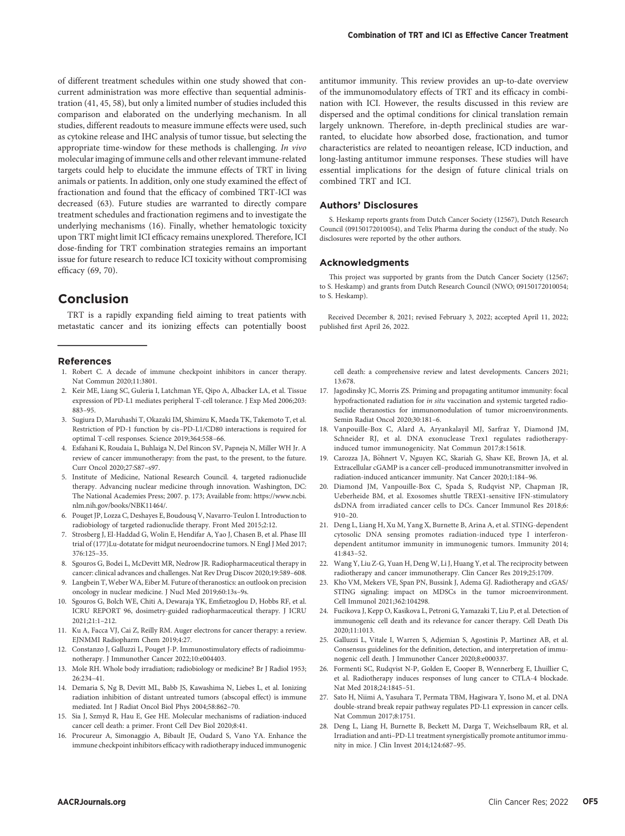of different treatment schedules within one study showed that concurrent administration was more effective than sequential administration (41, 45, 58), but only a limited number of studies included this comparison and elaborated on the underlying mechanism. In all studies, different readouts to measure immune effects were used, such as cytokine release and IHC analysis of tumor tissue, but selecting the appropriate time-window for these methods is challenging. In vivo molecular imaging of immune cells and other relevant immune-related targets could help to elucidate the immune effects of TRT in living animals or patients. In addition, only one study examined the effect of fractionation and found that the efficacy of combined TRT-ICI was decreased (63). Future studies are warranted to directly compare treatment schedules and fractionation regimens and to investigate the underlying mechanisms (16). Finally, whether hematologic toxicity upon TRT might limit ICI efficacy remains unexplored. Therefore, ICI dose-finding for TRT combination strategies remains an important issue for future research to reduce ICI toxicity without compromising efficacy (69, 70).

## Conclusion

TRT is a rapidly expanding field aiming to treat patients with metastatic cancer and its ionizing effects can potentially boost

#### References

- 1. Robert C. A decade of immune checkpoint inhibitors in cancer therapy. Nat Commun 2020;11:3801.
- 2. Keir ME, Liang SC, Guleria I, Latchman YE, Qipo A, Albacker LA, et al. Tissue expression of PD-L1 mediates peripheral T-cell tolerance. J Exp Med 2006;203: 883–95.
- 3. Sugiura D, Maruhashi T, Okazaki IM, Shimizu K, Maeda TK, Takemoto T, et al. Restriction of PD-1 function by cis–PD-L1/CD80 interactions is required for optimal T-cell responses. Science 2019;364:558–66.
- 4. Esfahani K, Roudaia L, Buhlaiga N, Del Rincon SV, Papneja N, Miller WH Jr. A review of cancer immunotherapy: from the past, to the present, to the future. Curr Oncol 2020;27:S87–s97.
- 5. Institute of Medicine, National Research Council. 4, targeted radionuclide therapy. Advancing nuclear medicine through innovation. Washington, DC: The National Academies Press; 2007. p. 173; Available from: [https://www.ncbi.](https://www.ncbi.nlm.nih.gov/books/NBK11464/) [nlm.nih.gov/books/NBK11464/](https://www.ncbi.nlm.nih.gov/books/NBK11464/).
- 6. Pouget JP, Lozza C, Deshayes E, Boudousq V, Navarro-Teulon I. Introduction to radiobiology of targeted radionuclide therapy. Front Med 2015;2:12.
- 7. Strosberg J, El-Haddad G, Wolin E, Hendifar A, Yao J, Chasen B, et al. Phase III trial of (177)Lu-dotatate for midgut neuroendocrine tumors. N Engl J Med 2017; 376:125–35.
- 8. Sgouros G, Bodei L, McDevitt MR, Nedrow JR. Radiopharmaceutical therapy in cancer: clinical advances and challenges. Nat Rev Drug Discov 2020;19:589–608.
- 9. Langbein T,Weber WA, Eiber M. Future of theranostics: an outlook on precision oncology in nuclear medicine. J Nucl Med 2019;60:13s–9s.
- 10. Sgouros G, Bolch WE, Chiti A, Dewaraja YK, Emfietzoglou D, Hobbs RF, et al. ICRU REPORT 96, dosimetry-guided radiopharmaceutical therapy. J ICRU 2021;21:1–212.
- 11. Ku A, Facca VJ, Cai Z, Reilly RM. Auger electrons for cancer therapy: a review. EJNMMI Radiopharm Chem 2019;4:27.
- 12. Constanzo J, Galluzzi L, Pouget J-P. Immunostimulatory effects of radioimmunotherapy. J Immunother Cancer 2022;10:e004403.
- 13. Mole RH. Whole body irradiation; radiobiology or medicine? Br J Radiol 1953; 26:234–41.
- 14. Demaria S, Ng B, Devitt ML, Babb JS, Kawashima N, Liebes L, et al. Ionizing radiation inhibition of distant untreated tumors (abscopal effect) is immune mediated. Int J Radiat Oncol Biol Phys 2004;58:862–70.
- 15. Sia J, Szmyd R, Hau E, Gee HE. Molecular mechanisms of radiation-induced cancer cell death: a primer. Front Cell Dev Biol 2020;8:41.
- 16. Procureur A, Simonaggio A, Bibault JE, Oudard S, Vano YA. Enhance the immune checkpoint inhibitors efficacy with radiotherapy induced immunogenic

antitumor immunity. This review provides an up-to-date overview of the immunomodulatory effects of TRT and its efficacy in combination with ICI. However, the results discussed in this review are dispersed and the optimal conditions for clinical translation remain largely unknown. Therefore, in-depth preclinical studies are warranted, to elucidate how absorbed dose, fractionation, and tumor characteristics are related to neoantigen release, ICD induction, and long-lasting antitumor immune responses. These studies will have essential implications for the design of future clinical trials on combined TRT and ICI.

#### Authors' Disclosures

S. Heskamp reports grants from Dutch Cancer Society (12567), Dutch Research Council (09150172010054), and Telix Pharma during the conduct of the study. No disclosures were reported by the other authors.

#### Acknowledgments

This project was supported by grants from the Dutch Cancer Society (12567; to S. Heskamp) and grants from Dutch Research Council (NWO; 09150172010054; to S. Heskamp).

Received December 8, 2021; revised February 3, 2022; accepted April 11, 2022; published first April 26, 2022.

cell death: a comprehensive review and latest developments. Cancers 2021; 13:678.

- 17. Jagodinsky JC, Morris ZS. Priming and propagating antitumor immunity: focal hypofractionated radiation for in situ vaccination and systemic targeted radionuclide theranostics for immunomodulation of tumor microenvironments. Semin Radiat Oncol 2020;30:181–6.
- 18. Vanpouille-Box C, Alard A, Aryankalayil MJ, Sarfraz Y, Diamond JM, Schneider RJ, et al. DNA exonuclease Trex1 regulates radiotherapyinduced tumor immunogenicity. Nat Commun 2017;8:15618.
- 19. Carozza JA, Böhnert V, Nguyen KC, Skariah G, Shaw KE, Brown JA, et al. Extracellular cGAMP is a cancer cell–produced immunotransmitter involved in radiation-induced anticancer immunity. Nat Cancer 2020;1:184–96.
- 20. Diamond JM, Vanpouille-Box C, Spada S, Rudqvist NP, Chapman JR, Ueberheide BM, et al. Exosomes shuttle TREX1-sensitive IFN-stimulatory dsDNA from irradiated cancer cells to DCs. Cancer Immunol Res 2018;6: 910–20.
- 21. Deng L, Liang H, Xu M, Yang X, Burnette B, Arina A, et al. STING-dependent cytosolic DNA sensing promotes radiation-induced type I interferondependent antitumor immunity in immunogenic tumors. Immunity 2014; 41:843–52.
- 22. Wang Y, Liu Z-G, Yuan H, Deng W, Li J, Huang Y, et al. The reciprocity between radiotherapy and cancer immunotherapy. Clin Cancer Res 2019;25:1709.
- 23. Kho VM, Mekers VE, Span PN, Bussink J, Adema GJ. Radiotherapy and cGAS/ STING signaling: impact on MDSCs in the tumor microenvironment. Cell Immunol 2021;362:104298.
- 24. Fucikova J, Kepp O, Kasikova L, Petroni G, Yamazaki T, Liu P, et al. Detection of immunogenic cell death and its relevance for cancer therapy. Cell Death Dis 2020;11:1013.
- 25. Galluzzi L, Vitale I, Warren S, Adjemian S, Agostinis P, Martinez AB, et al. Consensus guidelines for the definition, detection, and interpretation of immunogenic cell death. J Immunother Cancer 2020;8:e000337.
- 26. Formenti SC, Rudqvist N-P, Golden E, Cooper B, Wennerberg E, Lhuillier C, et al. Radiotherapy induces responses of lung cancer to CTLA-4 blockade. Nat Med 2018;24:1845–51.
- 27. Sato H, Niimi A, Yasuhara T, Permata TBM, Hagiwara Y, Isono M, et al. DNA double-strand break repair pathway regulates PD-L1 expression in cancer cells. Nat Commun 2017;8:1751.
- 28. Deng L, Liang H, Burnette B, Beckett M, Darga T, Weichselbaum RR, et al. Irradiation and anti–PD-L1 treatment synergistically promote antitumor immunity in mice. J Clin Invest 2014;124:687–95.